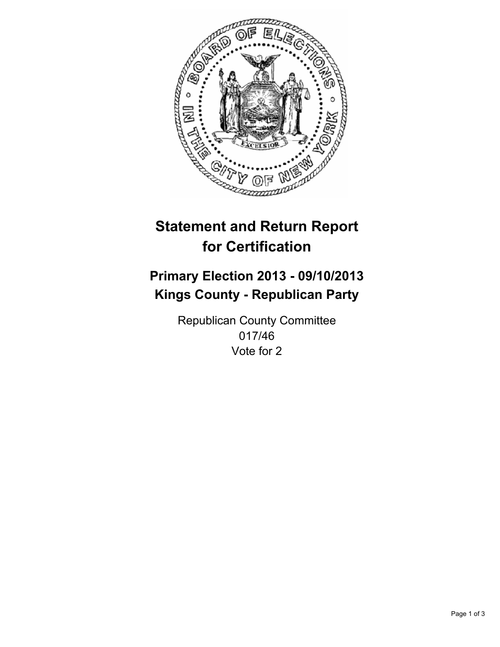

# **Statement and Return Report for Certification**

## **Primary Election 2013 - 09/10/2013 Kings County - Republican Party**

Republican County Committee 017/46 Vote for 2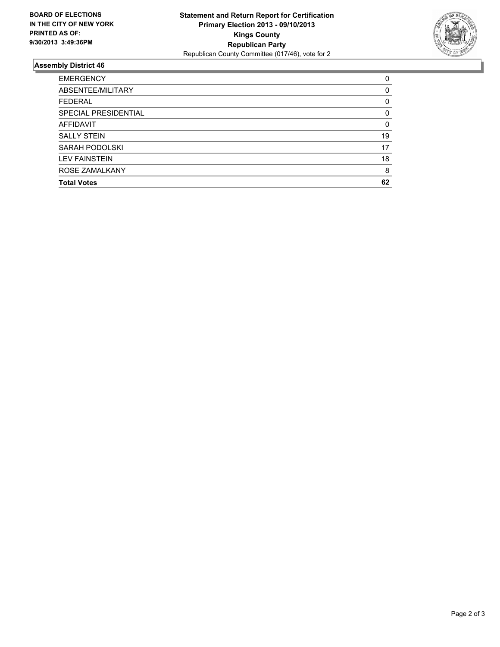

### **Assembly District 46**

| <b>EMERGENCY</b>     | 0  |
|----------------------|----|
| ABSENTEE/MILITARY    | 0  |
| <b>FEDERAL</b>       | 0  |
| SPECIAL PRESIDENTIAL | 0  |
| <b>AFFIDAVIT</b>     | 0  |
| <b>SALLY STEIN</b>   | 19 |
| SARAH PODOLSKI       | 17 |
| <b>LEV FAINSTEIN</b> | 18 |
| ROSE ZAMALKANY       | 8  |
| <b>Total Votes</b>   | 62 |